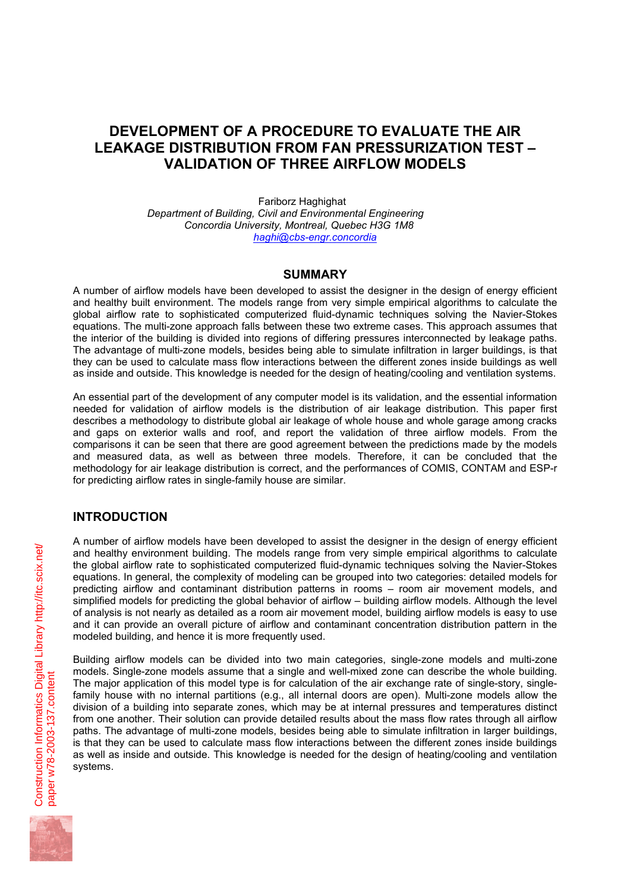# **DEVELOPMENT OF A PROCEDURE TO EVALUATE THE AIR LEAKAGE DISTRIBUTION FROM FAN PRESSURIZATION TEST – VALIDATION OF THREE AIRFLOW MODELS**

Fariborz Haghighat *Department of Building, Civil and Environmental Engineering Concordia University, Montreal, Quebec H3G 1M8 haghi@cbs-engr.concordia*

### **SUMMARY**

A number of airflow models have been developed to assist the designer in the design of energy efficient and healthy built environment. The models range from very simple empirical algorithms to calculate the global airflow rate to sophisticated computerized fluid-dynamic techniques solving the Navier-Stokes equations. The multi-zone approach falls between these two extreme cases. This approach assumes that the interior of the building is divided into regions of differing pressures interconnected by leakage paths. The advantage of multi-zone models, besides being able to simulate infiltration in larger buildings, is that they can be used to calculate mass flow interactions between the different zones inside buildings as well as inside and outside. This knowledge is needed for the design of heating/cooling and ventilation systems.

An essential part of the development of any computer model is its validation, and the essential information needed for validation of airflow models is the distribution of air leakage distribution. This paper first describes a methodology to distribute global air leakage of whole house and whole garage among cracks and gaps on exterior walls and roof, and report the validation of three airflow models. From the comparisons it can be seen that there are good agreement between the predictions made by the models and measured data, as well as between three models. Therefore, it can be concluded that the methodology for air leakage distribution is correct, and the performances of COMIS, CONTAM and ESP-r for predicting airflow rates in single-family house are similar.

## **INTRODUCTION**

A number of airflow models have been developed to assist the designer in the design of energy efficient and healthy environment building. The models range from very simple empirical algorithms to calculate the global airflow rate to sophisticated computerized fluid-dynamic techniques solving the Navier-Stokes equations. In general, the complexity of modeling can be grouped into two categories: detailed models for predicting airflow and contaminant distribution patterns in rooms – room air movement models, and simplified models for predicting the global behavior of airflow – building airflow models. Although the level of analysis is not nearly as detailed as a room air movement model, building airflow models is easy to use and it can provide an overall picture of airflow and contaminant concentration distribution pattern in the modeled building, and hence it is more frequently used.

Building airflow models can be divided into two main categories, single-zone models and multi-zone models. Single-zone models assume that a single and well-mixed zone can describe the whole building. The major application of this model type is for calculation of the air exchange rate of single-story, singlefamily house with no internal partitions (e.g., all internal doors are open). Multi-zone models allow the division of a building into separate zones, which may be at internal pressures and temperatures distinct from one another. Their solution can provide detailed results about the mass flow rates through all airflow paths. The advantage of multi-zone models, besides being able to simulate infiltration in larger buildings, is that they can be used to calculate mass flow interactions between the different zones inside buildings as well as inside and outside. This knowledge is needed for the design of heating/cooling and ventilation systems.

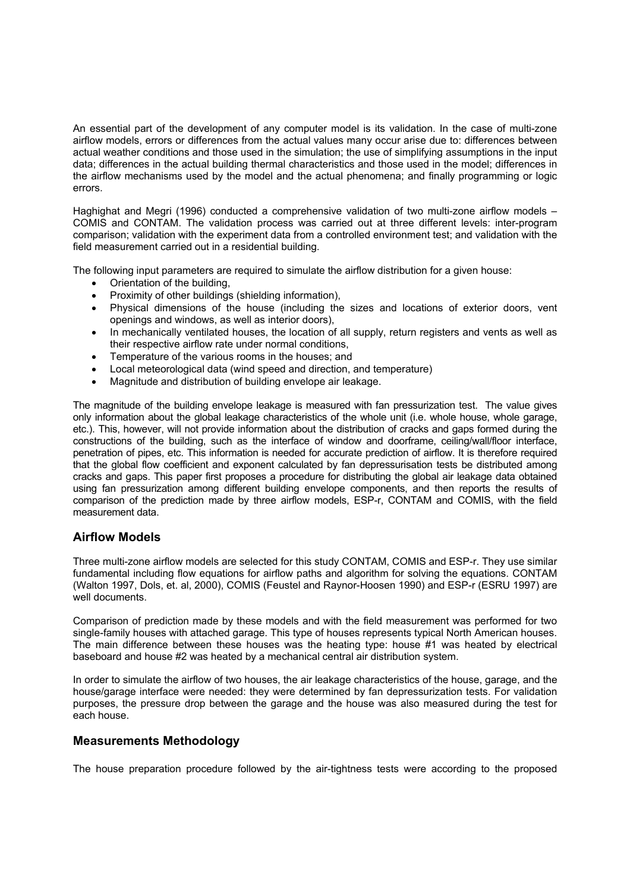An essential part of the development of any computer model is its validation. In the case of multi-zone airflow models, errors or differences from the actual values many occur arise due to: differences between actual weather conditions and those used in the simulation; the use of simplifying assumptions in the input data; differences in the actual building thermal characteristics and those used in the model; differences in the airflow mechanisms used by the model and the actual phenomena; and finally programming or logic errors.

Haghighat and Megri (1996) conducted a comprehensive validation of two multi-zone airflow models – COMIS and CONTAM. The validation process was carried out at three different levels: inter-program comparison; validation with the experiment data from a controlled environment test; and validation with the field measurement carried out in a residential building.

The following input parameters are required to simulate the airflow distribution for a given house:

- Orientation of the building,
- Proximity of other buildings (shielding information),
- Physical dimensions of the house (including the sizes and locations of exterior doors, vent openings and windows, as well as interior doors),
- In mechanically ventilated houses, the location of all supply, return registers and vents as well as their respective airflow rate under normal conditions,
- Temperature of the various rooms in the houses; and
- Local meteorological data (wind speed and direction, and temperature)
- Magnitude and distribution of building envelope air leakage.

The magnitude of the building envelope leakage is measured with fan pressurization test. The value gives only information about the global leakage characteristics of the whole unit (i.e. whole house, whole garage, etc.). This, however, will not provide information about the distribution of cracks and gaps formed during the constructions of the building, such as the interface of window and doorframe, ceiling/wall/floor interface, penetration of pipes, etc. This information is needed for accurate prediction of airflow. It is therefore required that the global flow coefficient and exponent calculated by fan depressurisation tests be distributed among cracks and gaps. This paper first proposes a procedure for distributing the global air leakage data obtained using fan pressurization among different building envelope components, and then reports the results of comparison of the prediction made by three airflow models, ESP-r, CONTAM and COMIS, with the field measurement data.

### **Airflow Models**

Three multi-zone airflow models are selected for this study CONTAM, COMIS and ESP-r. They use similar fundamental including flow equations for airflow paths and algorithm for solving the equations. CONTAM (Walton 1997, Dols, et. al, 2000), COMIS (Feustel and Raynor-Hoosen 1990) and ESP-r (ESRU 1997) are well documents.

Comparison of prediction made by these models and with the field measurement was performed for two single-family houses with attached garage. This type of houses represents typical North American houses. The main difference between these houses was the heating type: house #1 was heated by electrical baseboard and house #2 was heated by a mechanical central air distribution system.

In order to simulate the airflow of two houses, the air leakage characteristics of the house, garage, and the house/garage interface were needed: they were determined by fan depressurization tests. For validation purposes, the pressure drop between the garage and the house was also measured during the test for each house.

### **Measurements Methodology**

The house preparation procedure followed by the air-tightness tests were according to the proposed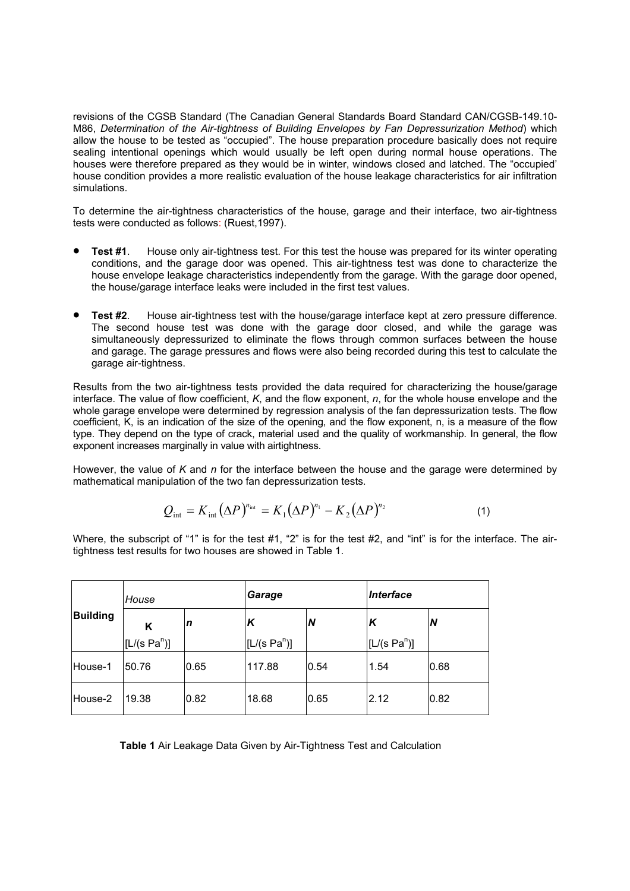revisions of the CGSB Standard (The Canadian General Standards Board Standard CAN/CGSB-149.10-M86, *Determination of the Air-tightness of Building Envelopes by Fan Depressurization Method*) which allow the house to be tested as "occupied". The house preparation procedure basically does not require sealing intentional openings which would usually be left open during normal house operations. The houses were therefore prepared as they would be in winter, windows closed and latched. The "occupied' house condition provides a more realistic evaluation of the house leakage characteristics for air infiltration simulations.

To determine the air-tightness characteristics of the house, garage and their interface, two air-tightness tests were conducted as follows: (Ruest,1997).

- **Test #1.** House only air-tightness test. For this test the house was prepared for its winter operating conditions, and the garage door was opened. This air-tightness test was done to characterize the house envelope leakage characteristics independently from the garage. With the garage door opened, the house/garage interface leaks were included in the first test values.
- **Test #2**. House air-tightness test with the house/garage interface kept at zero pressure difference. The second house test was done with the garage door closed, and while the garage was simultaneously depressurized to eliminate the flows through common surfaces between the house and garage. The garage pressures and flows were also being recorded during this test to calculate the garage air-tightness.

Results from the two air-tightness tests provided the data required for characterizing the house/garage interface. The value of flow coefficient, *K*, and the flow exponent, *n*, for the whole house envelope and the whole garage envelope were determined by regression analysis of the fan depressurization tests. The flow coefficient, K, is an indication of the size of the opening, and the flow exponent, n, is a measure of the flow type. They depend on the type of crack, material used and the quality of workmanship. In general, the flow exponent increases marginally in value with airtightness.

However, the value of *K* and *n* for the interface between the house and the garage were determined by mathematical manipulation of the two fan depressurization tests.

$$
Q_{\text{int}} = K_{\text{int}} \left(\Delta P\right)^{n_{\text{int}}} = K_1 \left(\Delta P\right)^{n_1} - K_2 \left(\Delta P\right)^{n_2} \tag{1}
$$

Where, the subscript of "1" is for the test #1, "2" is for the test #2, and "int" is for the interface. The airtightness test results for two houses are showed in Table 1.

| <b>Building</b> | House           |      | Garage          |      | Interface       |      |
|-----------------|-----------------|------|-----------------|------|-----------------|------|
|                 | ĸ               | n    | К               | IN   | K               | N    |
|                 | $[L/(s\ Pa^n)]$ |      | $[L/(s\ Pa^n)]$ |      | $[L/(s\ Pa^n)]$ |      |
| House-1         | 50.76           | 0.65 | 117.88          | 0.54 | 1.54            | 0.68 |
| House-2         | 19.38           | 0.82 | 18.68           | 0.65 | 2.12            | 0.82 |

**Table 1** Air Leakage Data Given by Air-Tightness Test and Calculation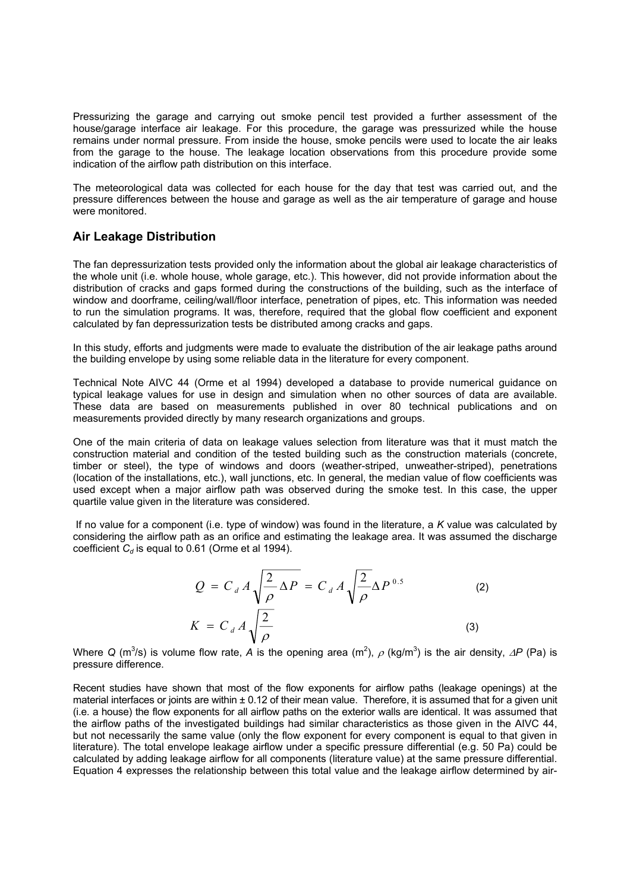Pressurizing the garage and carrying out smoke pencil test provided a further assessment of the house/garage interface air leakage. For this procedure, the garage was pressurized while the house remains under normal pressure. From inside the house, smoke pencils were used to locate the air leaks from the garage to the house. The leakage location observations from this procedure provide some indication of the airflow path distribution on this interface.

The meteorological data was collected for each house for the day that test was carried out, and the pressure differences between the house and garage as well as the air temperature of garage and house were monitored.

### **Air Leakage Distribution**

The fan depressurization tests provided only the information about the global air leakage characteristics of the whole unit (i.e. whole house, whole garage, etc.). This however, did not provide information about the distribution of cracks and gaps formed during the constructions of the building, such as the interface of window and doorframe, ceiling/wall/floor interface, penetration of pipes, etc. This information was needed to run the simulation programs. It was, therefore, required that the global flow coefficient and exponent calculated by fan depressurization tests be distributed among cracks and gaps.

In this study, efforts and judgments were made to evaluate the distribution of the air leakage paths around the building envelope by using some reliable data in the literature for every component.

Technical Note AIVC 44 (Orme et al 1994) developed a database to provide numerical guidance on typical leakage values for use in design and simulation when no other sources of data are available. These data are based on measurements published in over 80 technical publications and on measurements provided directly by many research organizations and groups.

One of the main criteria of data on leakage values selection from literature was that it must match the construction material and condition of the tested building such as the construction materials (concrete, timber or steel), the type of windows and doors (weather-striped, unweather-striped), penetrations (location of the installations, etc.), wall junctions, etc. In general, the median value of flow coefficients was used except when a major airflow path was observed during the smoke test. In this case, the upper quartile value given in the literature was considered.

 If no value for a component (i.e. type of window) was found in the literature, a *K* value was calculated by considering the airflow path as an orifice and estimating the leakage area. It was assumed the discharge coefficient  $C_d$  is equal to 0.61 (Orme et al 1994).

$$
Q = C_d A \sqrt{\frac{2}{\rho} \Delta P} = C_d A \sqrt{\frac{2}{\rho}} \Delta P^{0.5}
$$
\n
$$
K = C_d A \sqrt{\frac{2}{\rho}}
$$
\n(3)

Where Q (m<sup>3</sup>/s) is volume flow rate, *A* is the opening area (m<sup>2</sup>),  $\rho$  (kg/m<sup>3</sup>) is the air density, ∆*P* (Pa) is pressure difference.

Recent studies have shown that most of the flow exponents for airflow paths (leakage openings) at the material interfaces or joints are within  $\pm$  0.12 of their mean value. Therefore, it is assumed that for a given unit (i.e. a house) the flow exponents for all airflow paths on the exterior walls are identical. It was assumed that the airflow paths of the investigated buildings had similar characteristics as those given in the AIVC 44, but not necessarily the same value (only the flow exponent for every component is equal to that given in literature). The total envelope leakage airflow under a specific pressure differential (e.g. 50 Pa) could be calculated by adding leakage airflow for all components (literature value) at the same pressure differential. Equation 4 expresses the relationship between this total value and the leakage airflow determined by air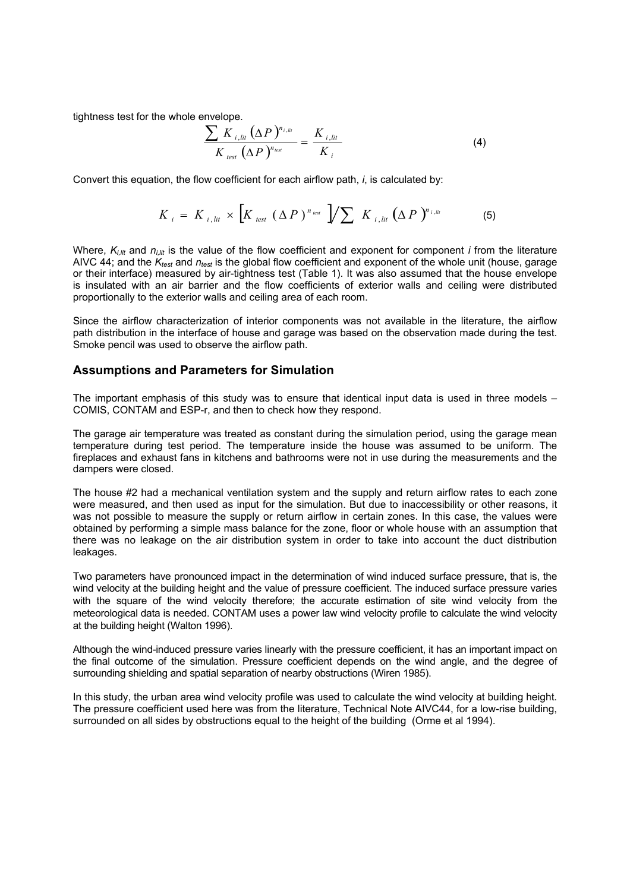tightness test for the whole envelope.

$$
\frac{\sum K_{i,lin} (\Delta P)^{n_{i,lin}}}{K_{test} (\Delta P)^{n_{test}}} = \frac{K_{i,lin}}{K_i}
$$
(4)

Convert this equation, the flow coefficient for each airflow path, *i*, is calculated by:

$$
K_{i} = K_{i, \text{lit}} \times \left[ K_{\text{test}} \left( \Delta P \right)^{n_{\text{test}}} \right] / \sum K_{i, \text{lit}} \left( \Delta P \right)^{n_{i, \text{lit}}} \tag{5}
$$

Where,  $K_{i}$ <sub>lit</sub> and  $n_{i}$ <sub>lit</sub> is the value of the flow coefficient and exponent for component *i* from the literature AIVC 44; and the  $K_{test}$  and  $n_{test}$  is the global flow coefficient and exponent of the whole unit (house, garage or their interface) measured by air-tightness test (Table 1). It was also assumed that the house envelope is insulated with an air barrier and the flow coefficients of exterior walls and ceiling were distributed proportionally to the exterior walls and ceiling area of each room.

Since the airflow characterization of interior components was not available in the literature, the airflow path distribution in the interface of house and garage was based on the observation made during the test. Smoke pencil was used to observe the airflow path.

#### **Assumptions and Parameters for Simulation**

The important emphasis of this study was to ensure that identical input data is used in three models – COMIS, CONTAM and ESP-r, and then to check how they respond.

The garage air temperature was treated as constant during the simulation period, using the garage mean temperature during test period. The temperature inside the house was assumed to be uniform. The fireplaces and exhaust fans in kitchens and bathrooms were not in use during the measurements and the dampers were closed.

The house #2 had a mechanical ventilation system and the supply and return airflow rates to each zone were measured, and then used as input for the simulation. But due to inaccessibility or other reasons, it was not possible to measure the supply or return airflow in certain zones. In this case, the values were obtained by performing a simple mass balance for the zone, floor or whole house with an assumption that there was no leakage on the air distribution system in order to take into account the duct distribution leakages.

Two parameters have pronounced impact in the determination of wind induced surface pressure, that is, the wind velocity at the building height and the value of pressure coefficient. The induced surface pressure varies with the square of the wind velocity therefore; the accurate estimation of site wind velocity from the meteorological data is needed. CONTAM uses a power law wind velocity profile to calculate the wind velocity at the building height (Walton 1996).

Although the wind-induced pressure varies linearly with the pressure coefficient, it has an important impact on the final outcome of the simulation. Pressure coefficient depends on the wind angle, and the degree of surrounding shielding and spatial separation of nearby obstructions (Wiren 1985).

In this study, the urban area wind velocity profile was used to calculate the wind velocity at building height. The pressure coefficient used here was from the literature, Technical Note AIVC44, for a low-rise building, surrounded on all sides by obstructions equal to the height of the building (Orme et al 1994).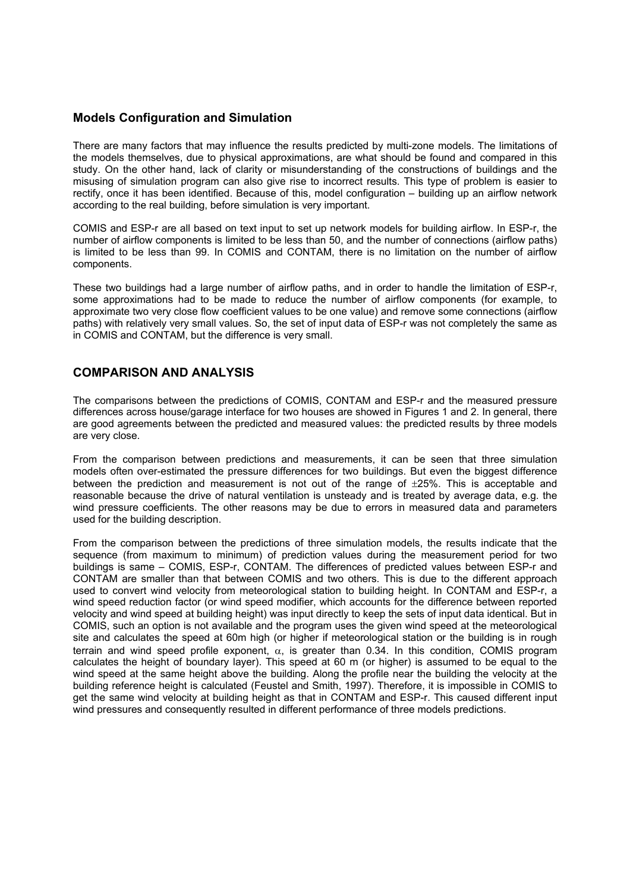### **Models Configuration and Simulation**

There are many factors that may influence the results predicted by multi-zone models. The limitations of the models themselves, due to physical approximations, are what should be found and compared in this study. On the other hand, lack of clarity or misunderstanding of the constructions of buildings and the misusing of simulation program can also give rise to incorrect results. This type of problem is easier to rectify, once it has been identified. Because of this, model configuration – building up an airflow network according to the real building, before simulation is very important.

COMIS and ESP-r are all based on text input to set up network models for building airflow. In ESP-r, the number of airflow components is limited to be less than 50, and the number of connections (airflow paths) is limited to be less than 99. In COMIS and CONTAM, there is no limitation on the number of airflow components.

These two buildings had a large number of airflow paths, and in order to handle the limitation of ESP-r, some approximations had to be made to reduce the number of airflow components (for example, to approximate two very close flow coefficient values to be one value) and remove some connections (airflow paths) with relatively very small values. So, the set of input data of ESP-r was not completely the same as in COMIS and CONTAM, but the difference is very small.

### **COMPARISON AND ANALYSIS**

The comparisons between the predictions of COMIS, CONTAM and ESP-r and the measured pressure differences across house/garage interface for two houses are showed in Figures 1 and 2. In general, there are good agreements between the predicted and measured values: the predicted results by three models are very close.

From the comparison between predictions and measurements, it can be seen that three simulation models often over-estimated the pressure differences for two buildings. But even the biggest difference between the prediction and measurement is not out of the range of  $\pm$ 25%. This is acceptable and reasonable because the drive of natural ventilation is unsteady and is treated by average data, e.g. the wind pressure coefficients. The other reasons may be due to errors in measured data and parameters used for the building description.

From the comparison between the predictions of three simulation models, the results indicate that the sequence (from maximum to minimum) of prediction values during the measurement period for two buildings is same – COMIS, ESP-r, CONTAM. The differences of predicted values between ESP-r and CONTAM are smaller than that between COMIS and two others. This is due to the different approach used to convert wind velocity from meteorological station to building height. In CONTAM and ESP-r, a wind speed reduction factor (or wind speed modifier, which accounts for the difference between reported velocity and wind speed at building height) was input directly to keep the sets of input data identical. But in COMIS, such an option is not available and the program uses the given wind speed at the meteorological site and calculates the speed at 60m high (or higher if meteorological station or the building is in rough terrain and wind speed profile exponent,  $\alpha$ , is greater than 0.34. In this condition, COMIS program calculates the height of boundary layer). This speed at 60 m (or higher) is assumed to be equal to the wind speed at the same height above the building. Along the profile near the building the velocity at the building reference height is calculated (Feustel and Smith, 1997). Therefore, it is impossible in COMIS to get the same wind velocity at building height as that in CONTAM and ESP-r. This caused different input wind pressures and consequently resulted in different performance of three models predictions.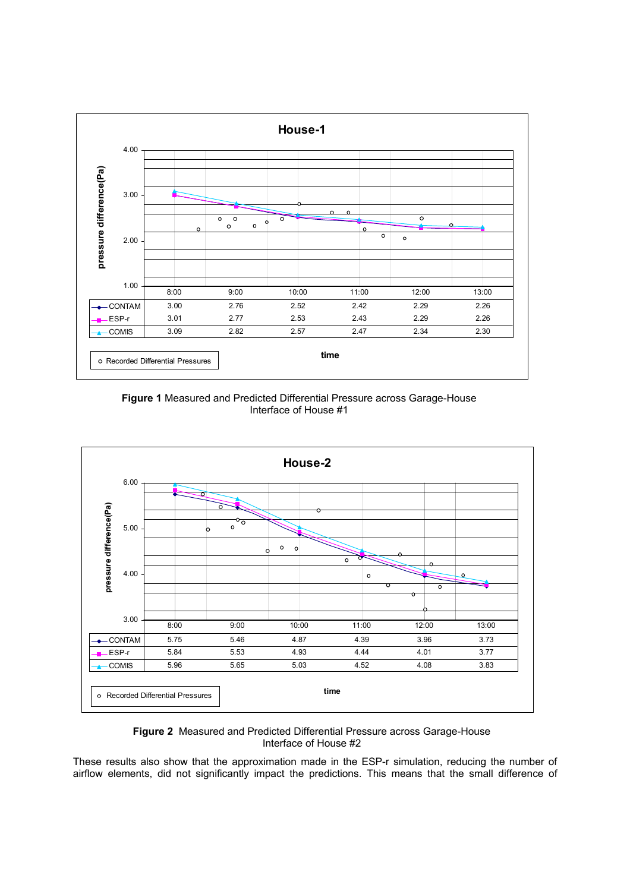

**Figure 1** Measured and Predicted Differential Pressure across Garage-House Interface of House #1



**Figure 2** Measured and Predicted Differential Pressure across Garage-House Interface of House #2

These results also show that the approximation made in the ESP-r simulation, reducing the number of airflow elements, did not significantly impact the predictions. This means that the small difference of